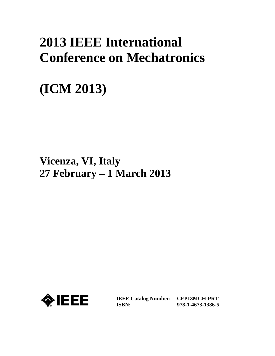## **2013 IEEE International Conference on Mechatronics**

# **(ICM 2013)**

**Vicenza, VI, Italy 27 February – 1 March 2013**



**IEEE Catalog Number: CFP13MCH-PRT ISBN:** 

**978-1-4673-1386-5**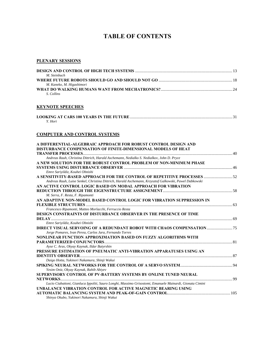## **TABLE OF CONTENTS**

#### **PLENARY SESSIONS**

| M. Steinbuch              |  |
|---------------------------|--|
|                           |  |
| M. Kaneko, M. Higashimori |  |
|                           |  |
| S. Collins                |  |

#### **KEYNOTE SPEECHES**

| Y. Hori |  |
|---------|--|

#### **COMPUTER AND CONTROL SYSTEMS**

| A DIFFERENTIAL-ALGEBRAIC APPROACH FOR ROBUST CONTROL DESIGN AND                                          |  |
|----------------------------------------------------------------------------------------------------------|--|
| DISTURBANCE COMPENSATION OF FINITE-DIMENSIONAL MODELS OF HEAT                                            |  |
|                                                                                                          |  |
| Andreas Rauh, Christina Dittrich, Harald Aschemann, Nedialko S. Nedialkov, John D. Pryce                 |  |
| A NEW SOLUTION FOR THE ROBUST CONTROL PROBLEM OF NON-MINIMUM PHASE                                       |  |
|                                                                                                          |  |
| Emre Sariyildiz, Kouhei Ohnishi                                                                          |  |
| A SENSITIVITY-BASED APPROACH FOR THE CONTROL OF REPETITIVE PROCESSES  52                                 |  |
| Andreas Rauh, Luise Senkel, Christina Dittrich, Harald Aschemann, Krzysztof Galkowski, Pawel Dabkowski   |  |
| AN ACTIVE CONTROL LOGIC BASED ON MODAL APPROACH FOR VIBRATION                                            |  |
|                                                                                                          |  |
| M. Serra, F. Resta, F. Ripamonti                                                                         |  |
| AN ADAPTIVE NON-MODEL BASED CONTROL LOGIC FOR VIBRATION SUPPRESSION IN                                   |  |
|                                                                                                          |  |
| Francesco Ripamonti, Matteo Morlacchi, Ferruccio Resta                                                   |  |
| <b>DESIGN CONSTRAINTS OF DISTURBANCE OBSERVER IN THE PRESENCE OF TIME</b>                                |  |
|                                                                                                          |  |
| Emre Sariyildiz, Kouhei Ohnishi                                                                          |  |
|                                                                                                          |  |
| Jorge Pomares, Ivan Perea, Carlos Jara, Fernando Torres                                                  |  |
| NONLINEAR FUNCTION APPROXIMATION BASED ON FUZZY ALGORITHMS WITH                                          |  |
|                                                                                                          |  |
| Ayse C. Aras, Okyay Kaynak, Ildar Batyrshin                                                              |  |
| PRESSURE ESTIMATION OF PNEUMATIC ANTI-VIBRATION APPARATUSES USING AN                                     |  |
|                                                                                                          |  |
| Daigo Hotta, Yukinori Nakamura, Shinji Wakui                                                             |  |
|                                                                                                          |  |
| Yesim Oniz, Okyay Kaynak, Rahib Abiyev                                                                   |  |
| SUPERVISORY CONTROL OF PV-BATTERY SYSTEMS BY ONLINE TUNED NEURAL                                         |  |
|                                                                                                          |  |
| Lucio Ciabattoni, Gianluca Ippoliti, Sauro Longhi, Massimo Grisostomi, Emanuele Mainardi, Gionata Cimini |  |
| UNBALANCE VIBRATION CONTROL FOR ACTIVE MAGNETIC BEARING USING                                            |  |
|                                                                                                          |  |
| Shinya Okubo, Yukinori Nakamura, Shinji Wakui                                                            |  |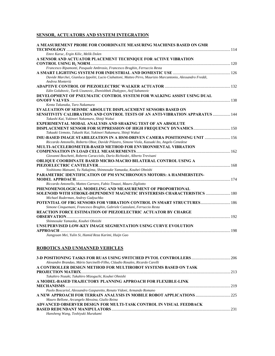## **SENSOR, ACTUATORS AND SYSTEM INTEGRATION**

| A MEASUREMENT PROBE FOR COORDINATE MEASURING MACHINES BASED ON GMR                                                             |  |
|--------------------------------------------------------------------------------------------------------------------------------|--|
| Emre Karuc, Ergin Kilic, Melik Dolen                                                                                           |  |
| A SENSOR AND ACTUATOR PLACEMENT TECHNIQUE FOR ACTIVE VIBRATION                                                                 |  |
|                                                                                                                                |  |
| Francesco Ripamonti, Pasquale Ambrosio, Francesco Braghin, Ferruccio Resta                                                     |  |
|                                                                                                                                |  |
| Davide Marchei, Gianluca Ippoliti, Lucio Ciabattoni, Matteo Pirro, Maurizio Marcantonio, Alessandro Freddi,<br>Andrea Monteriù |  |
|                                                                                                                                |  |
| Edin Golubovic, Tarik Uzunovic, Zhenishbek Zhakypov, Asif Sabanovic                                                            |  |
| DEVELOPMENT OF PNEUMATIC CONTROL SYSTEM FOR WALKING ASSIST USING DUAL                                                          |  |
|                                                                                                                                |  |
| Kenta Takanaka, Taro Nakamura                                                                                                  |  |
| <b>EVALUATION OF SEISMIC ABSOLUTE DISPLACEMENT SENSORS BASED ON</b>                                                            |  |
| <b>SENSITIVITY CALIBRATION AND CONTROL TESTS OF AN ANTI-VIBRATION APPARATUS  144</b>                                           |  |
| Takashi Kai, Yukinori Nakamura, Shinji Wakui                                                                                   |  |
| EXPERIMENTAL MODAL ANALYSIS AND SHAKING TEST OF AN ABSOLUTE                                                                    |  |
|                                                                                                                                |  |
| Takaaki Uemoto, Takashi Kai, Yukinori Nakamura, Shinji Wakui                                                                   |  |
| IMU-BASED IMAGE STABILIZATION IN A HSM-DRIVEN CAMERA POSITIONING UNIT  156                                                     |  |
| Riccardo Antonello, Roberto Oboe, Davide Pilastro, Simone Viola, Kazuaki Ito, Angelo Cenedese                                  |  |
| MULTI-ACCELEROMETER-BASED METHOD FOR ENVIRONMENTAL VIBRATION                                                                   |  |
|                                                                                                                                |  |
| Giovanni Boschetti, Roberto Caracciolo, Dario Richiedei, Alberto Trevisani                                                     |  |
| OBLIQUE COORDINATE BASED MICRO-MACRO BILATERAL CONTROL USING A                                                                 |  |
|                                                                                                                                |  |
| Yoshitomo Matsumi, Yu Nakajima, Shinnosuke Yamaoka, Kouhei Ohnishi                                                             |  |
| PARAMETRIC IDENTIFICATION OF PM SYNCHRONOUS MOTORS: A HAMMERSTEIN-                                                             |  |
|                                                                                                                                |  |
| Riccardo Antonello, Matteo Carraro, Fabio Tinazzi, Mauro Zigliotto                                                             |  |
| PHENOMENOLOGICAL MODELING AND MEASUREMENT OF PROPORTIONAL                                                                      |  |
| SOLENOID WITH STROKE-DEPENDENT MAGNETIC HYSTERESIS CHARACTERISTICS  180                                                        |  |
| Michael Ruderman, Andrey Gadyuchko                                                                                             |  |
| POTENTIAL OF FBG SENSORS FOR VIBRATION CONTROL IN SMART STRUCTURES 186                                                         |  |
| Simone Cinquemani, Francesco Braghin, Gabriele Cazzulani, Ferruccio Resta                                                      |  |
| REACTION FORCE ESTIMATION OF PIEZOELECTRIC ACTUATOR BY CHARGE                                                                  |  |
|                                                                                                                                |  |
| Shinnosuke Yamaoka, Kouhei Ohnishi                                                                                             |  |
| UNSUPERVISED LOW-KEY IMAGE SEGMENTATION USING CURVE EVOLUTION                                                                  |  |
| Jiangyuan Mei, Yulin Si, Hamid Reza Karimi, Huijn Gao                                                                          |  |
|                                                                                                                                |  |

## **ROBOTICS AND UNMANNED VEHICLES**

| Alexandre Brandao, Mário Sarcinelli-Filho, Cláudio Rosales, Ricardo Carelli |  |
|-----------------------------------------------------------------------------|--|
| A CONTROLLER DESIGN METHOD FOR MULTIROBOT SYSTEMS BASED ON TASK             |  |
|                                                                             |  |
| Takahiro Nozaki, Takahiro Mizoguchi, Kouhei Ohnishi                         |  |
| A MODEL-BASED TRAJECTORY PLANNING APPROACH FOR FLEXIBLE-LINK                |  |
|                                                                             |  |
| Paolo Boscariol, Alessandro Gasparetto, Renato Vidoni, Armando Romano       |  |
|                                                                             |  |
| Mauro Bellone, Arcangelo Messina, Giulio Reina                              |  |
| ADVANCED OBSERVER DESIGN FOR MULTI-TASK CONTROL IN VISUAL FEEDBACK          |  |
|                                                                             |  |
| Hansheng Wang, Toshiyuki Murakami                                           |  |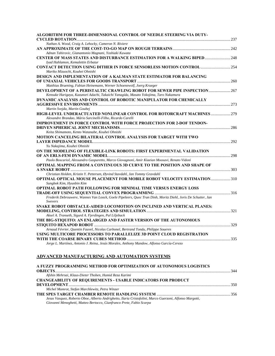| ALGORITHM FOR THREE-DIMENSIONAL CONTROL OF NEEDLE STEERING VIA DUTY-                                         |  |
|--------------------------------------------------------------------------------------------------------------|--|
|                                                                                                              |  |
| Nathan A. Wood, Craig A. Lehocky, Cameron N. Riviere                                                         |  |
|                                                                                                              |  |
| Adnan Tahirovic, Gianantonio Magnani, Yoshiaki Kuwata                                                        |  |
| <b>CENTER OF MASS STATES AND DISTURBANCE ESTIMATION FOR A WALKING BIPED  248</b>                             |  |
| Iyad Hahlamon, Kemalettin Erbatur                                                                            |  |
| <b>CONTACT DETECTION USING DITHER IN FORCE SENSORLESS MOTION CONTROL  254</b>                                |  |
| Mariko Mizuochi, Kouhei Ohnishi                                                                              |  |
| DESIGN AND IMPLEMENTATION OF A KALMAN STATE ESTIMATOR FOR BALANCING                                          |  |
|                                                                                                              |  |
| Matthias Bruening, Fabian Heinemann, Werner Schoenewolf, Joerg Krueger                                       |  |
| DEVELOPMENT OF A PERISTALTIC CRAWLING ROBOT FOR SEWER PIPE INSPECTION 267                                    |  |
| Kensuke Harigaya, Kazunori Adachi, Takaichi Yanagida, Masato Yokojima, Taro Nakamura                         |  |
| DYNAMIC ANALYSIS AND CONTROL OF ROBOTIC MANIPULATOR FOR CHEMICALLY                                           |  |
|                                                                                                              |  |
| Martin Svejda, Martin Goubej                                                                                 |  |
| HIGH-LEVEL UNDERACTUATED NONLINEAR CONTROL FOR ROTORCRAFT MACHINES  279                                      |  |
| Alexandre Brandao, Mário Sarcinelli-Filho, Ricardo Carelli                                                   |  |
| <b>IMPROVEMENT IN FORCE CONTROL WITH FORCE PROJECTION FOR 2-DOF TENDON-</b>                                  |  |
|                                                                                                              |  |
| Keita Shimamoto, Kento Watanabe, Kouhei Ohnishi                                                              |  |
| MOTION CANCELING BILATERAL CONTROL ANALYSIS FOR TARGET WITH TWO                                              |  |
|                                                                                                              |  |
| Yu Nakajima, Kouhei Ohnishi                                                                                  |  |
| ON THE MODELING OF FLEXIBLE-LINK ROBOTS: FIRST EXPERIMENTAL VALIDATION                                       |  |
|                                                                                                              |  |
| Paolo Boscariol, Alessandro Gasparetto, Marco Giovagnoni, Amir Kiaeian Moosavi, Renato Vidoni                |  |
| OPTIMAL MAPPING FROM A CONTINUOUS 3D CURVE TO THE POSITION AND SHAPE OF                                      |  |
| Christian Holden, Kristin Y. Pettersen, Øyvind Stavdahl, Jan Tommy Gravdahl                                  |  |
| <b>OPTIMAL OPTICAL MOUSE PLACEMENT FOR MOBILE ROBOT VELOCITY ESTIMATION 310</b>                              |  |
| Sungbok Kim, Hyunbin Kim                                                                                     |  |
|                                                                                                              |  |
| OPTIMAL ROBOT PATH FOLLOWING FOR MINIMAL TIME VERSUS ENERGY LOSS                                             |  |
| Frederik Debrouwere, Wannes Van Loock, Goele Pipeleers, Quoc Tran Dinh, Moritz Diehl, Joris De Schutter, Jan |  |
| <b>Swevers</b>                                                                                               |  |
| SNAKE ROBOT OBSTACLE-AIDED LOCOMOTION ON INCLINED AND VERTICAL PLANES:                                       |  |
|                                                                                                              |  |
| Aksel A. Transeth, Sigurd A. Fjerdingen, Pal Liljeback                                                       |  |
| THE BIG-STIQUITO: AN ENLARGED AND FASTER VERSION OF THE AUTONOMOUS                                           |  |
|                                                                                                              |  |
| Arnaud Février, Quentin Fauvel, Nicolas Carbonel, Bertrand Tondu, Philippe Soueres                           |  |
| USING MULTICORE PROCESSORS TO PARALLELIZE 3D POINT CLOUD REGISTRATION                                        |  |
|                                                                                                              |  |
| Jorge L. Martínez, Antonio J. Reina, Jesús Morales, Anthony Mandow, Alfonso García-Cerezo                    |  |
|                                                                                                              |  |

## **ADVANCED MANUFACTURING AND AUTOMATION SYSTEMS**

| A FUZZY PROGRAMMING METHOD FOR OPTIMIZATION OF AUTONOMOUS LOGISTICS                                      |  |
|----------------------------------------------------------------------------------------------------------|--|
|                                                                                                          |  |
| Afshin Mehrsai, Klaus-Dieter Thoben, Hamid Reza Karimi                                                   |  |
| <b>CHANGEABILITY OF REOUIREMENTS - USABLE INDICATORS FOR PRODUCT</b>                                     |  |
|                                                                                                          |  |
| Michel Mamrot, Stefan Marchlewitz, Petra Winzer                                                          |  |
|                                                                                                          |  |
| Jesus Vasquez, Roberto Oboe, Alberto Andrighetto, Ilaria Cristofolini, Marco Guerzoni, Alfonso Margotti, |  |
| Giovanni Meneghetti, Matteo Bertocco, Gianfranco Prete, Fabio Scarpa                                     |  |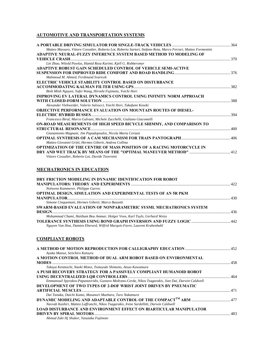## **AUTOMOTIVE AND TRANSPORTATION SYSTEMS**

| Matteo Massaro, Vittore Cossalter, Roberto Lot, Roberto Sartori, Stefano Rota, Marco Ferrari, Matteo Formentini |  |
|-----------------------------------------------------------------------------------------------------------------|--|
| ADAPTIVE NEURAL-FUZZY INFERENCE SYSTEM BASED METHOD TO MODELING OF                                              |  |
|                                                                                                                 |  |
| Lin Zhao, Witold Pawlus, Hamid Reza Karimi, Kjell G. Robbersmyr                                                 |  |
| <b>ADAPTIVE ROBUST GAIN SCHEDULED CONTROL OF VEHICLE SEMI-ACTIVE</b>                                            |  |
|                                                                                                                 |  |
| Mahmoud M. Ahmed, Ferdinand Svaricek                                                                            |  |
| <b>ELECTRIC VEHICLE STABILITY CONTROL BASED ON DISTURBANCE</b>                                                  |  |
|                                                                                                                 |  |
| Binh Minh Nguyen, Yafei Wang, Hiroshi Fujimoto, Yoichi Hori                                                     |  |
| IMPROVING EV LATERAL DYNAMICS CONTROL USING INFINITY NORM APPROACH                                              |  |
|                                                                                                                 |  |
| Alexander Viehweider, Valerio Salvucci, Yoichi Hori, Takafumi Koseki                                            |  |
| <b>OBJECTIVE PERFORMANCE EVALUATION ON MOUNTAIN ROUTES OF DIESEL-</b>                                           |  |
|                                                                                                                 |  |
| Francesco Biral, Marco Galvani, Michele Zucchelli, Giuliano Giacomelli                                          |  |
| ON-ROAD MEASUREMENTS OF HIGH SPEED BICYCLE SHIMMY, AND COMPARISON TO                                            |  |
|                                                                                                                 |  |
| Gianantonio Magnani, Jim Papadopoulos, Nicola Maria Ceriani                                                     |  |
|                                                                                                                 |  |
| Matteo Giovanni Gritti, Hermes Giberti, Andrea Collina                                                          |  |
| <b>OPTIMIZATION OF THE CENTRE OF MASS POSITION OF A RACING MOTORCYCLE IN</b>                                    |  |
|                                                                                                                 |  |
| Vittore Cossalter, Roberto Lot, Davide Tavernini                                                                |  |
|                                                                                                                 |  |
|                                                                                                                 |  |

## **MECHATRONICS IN EDUCATION**

| DRY FRICTION MODELING IN DYNAMIC IDENTIFICATION FOR ROBOT                 |  |
|---------------------------------------------------------------------------|--|
|                                                                           |  |
| Nolwenn Kammerer, Philippe Garrec                                         |  |
| <b>OPTIMAL DESIGN, SIMULATION AND EXPERIMENTAL TESTS OF AN 5R PKM</b>     |  |
|                                                                           |  |
| Simone Cinquemani, Hermes Giberti, Marco Bassetti                         |  |
| SWARM-BASED EVALUATION OF NONPARAMETRIC SYSML MECHATRONICS SYSTEM         |  |
|                                                                           |  |
| Mohammad Chami, Haitham Bou Ammar, Holger Voos, Karl Tuyls, Gerhard Weiss |  |
|                                                                           |  |
| Nguyen Van Hoa, Damien Eberard, Wilfrid Marquis-Favre, Laurent Krahenbuhl |  |

## **COMPLIANT ROBOTS**

| Ayaka Matsui, Seiichiro Katsura                                                                      |  |
|------------------------------------------------------------------------------------------------------|--|
| A MOTION CONTROL METHOD OF DUAL ARM ROBOT BASED ON ENVIRONMENTAL                                     |  |
|                                                                                                      |  |
| Takuya Kenmochi, Naoki Motoi, Tomoyuki Shimono, Atsuo Kawamura                                       |  |
| A PUSH RECOVERY STRATEGY FOR A PASSIVELY COMPLIANT HUMANOID ROBOT                                    |  |
|                                                                                                      |  |
| Emmanouil Spyrakos-Papastavridis, Gustavo Medrano-Cerda, Nikos Tsagarakis, Jian Dai, Darwin Caldwell |  |
| DEVELOPMENT OF TWO TYPES OF 2-DOF WRIST JOINT DRIVEN BY PNEUMATIC                                    |  |
|                                                                                                      |  |
| Dai Tanaka, Daichi Kamo, Masanori Maehara, Taro Nakamura                                             |  |
|                                                                                                      |  |
| Navvab Kashiri, Matteo Laffranchi, Nikos Tsagarakis, Irene Sardellitti, Darwin Caldwell              |  |
| <b>LOAD DISTURBANCE AND ENVIRONMENT EFFECT ON BIARTICULAR MANIPULATOR</b>                            |  |
|                                                                                                      |  |
| Ahmad Zaki Hj Shukor, Yasutaka Fujimoto                                                              |  |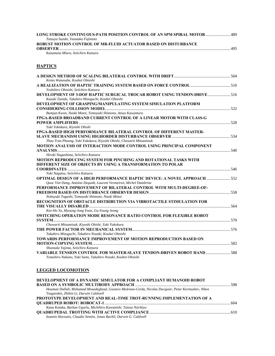| LONG STROKE CONTINUOUS-PATH POSITION CONTROL OF AN SPM SPIRAL MOTOR  489 |     |
|--------------------------------------------------------------------------|-----|
| Tatsuya Suzuki, Yasutaka Fujimoto                                        |     |
| <b>ROBUST MOTION CONTROL OF MR-FLUID ACTUATOR BASED ON DISTURBANCE</b>   |     |
|                                                                          | 495 |
| Kazumasa Miura, Seiichiro Katsura                                        |     |

#### **HAPTICS**

| Kento Watanabe, Kouhei Ohnishi                                                   |  |
|----------------------------------------------------------------------------------|--|
| Yoshihiro Ohnishi, Seiichiro Katsura                                             |  |
| DEVELOPMENT OF 3-DOF HAPTIC SURGICAL TROCAR ROBOT USING TENDON-DRIVE516          |  |
| Kazuki Tanida, Takahiro Mizoguchi, Kouhei Ohnishi                                |  |
| DEVELOPMENT OF GRASPING/MANIPULATING SYSTEM SIMULATION PLATFORM                  |  |
|                                                                                  |  |
| Bumjun Kwon, Naoki Motoi, Tomoyuki Shimono, Atsuo Kawamura                       |  |
| FPGA-BASED BROADBAND CURRENT CONTROL OF A LINEAR MOTOR WITH CLASS-G              |  |
|                                                                                  |  |
| Yuki Yokokura, Kiyoshi Ohishi                                                    |  |
| FPGA-BASED HIGH PERFORMANCE BILATERAL CONTROL OF DIFFERENT MASTER-               |  |
|                                                                                  |  |
| Thao Tran Phuong, Yuki Yokokura, Kiyoshi Ohishi, Chowarit Mitsantisuk            |  |
| <b>MOTION ANALYSIS OF INTERACTION MODE CONTROL USING PRINCIPAL COMPONENT</b>     |  |
|                                                                                  |  |
| Hiroki Nagashima, Seiichiro Katsura                                              |  |
| MOTION REPRODUCING SYSTEM FOR PINCHING AND ROTATIONAL TASKS WITH                 |  |
| DIFFERENT SIZE OF OBJECTS BY USING A TRANSFORMATION TO POLAR                     |  |
|                                                                                  |  |
| Yuki Nagatsu, Seiichiro Katsura                                                  |  |
| <b>OPTIMAL DESIGN OF A HIGH PERFORMANCE HAPTIC DEVICE: A NOVEL APPROACH  552</b> |  |
| Quoc Viet Dang, Antoine Dequidt, Laurent Vermeiren, Michel Dambrine              |  |
| PERFORMANCE IMPROVEMENT OF BILATERAL CONTROL WITH MULTI-DEGREE-OF-               |  |
|                                                                                  |  |
| Nobuyuki Togashi, Tomoyuki Shimono, Naoki Motoi                                  |  |
| RECOGNITION OF OBSTACLE DISTRIBUTION VIA VIBROTACTILE STIMULATION FOR            |  |
|                                                                                  |  |
| Kee-Ho Yu, Myoung-Jong Yoon, Gu-Young Jeong                                      |  |
| <b>SWITCHING OPERATION MODE RESONANCE RATIO CONTROL FOR FLEXIBLE ROBOT</b>       |  |
|                                                                                  |  |
| Chowarit Mitsantisuk, Kiyoshi Ohishi, Yuki Yokokura                              |  |
|                                                                                  |  |
| Takahiro Mizoguchi, Takahiro Nozaki, Kouhei Ohnishi                              |  |
| TOWARDS PERFORMANCE IMPROVEMENT OF MOTION REPRODUCTION BASED ON                  |  |
|                                                                                  |  |
| Shunsuke Yajima, Seiichiro Katsura                                               |  |
| VARIABLE TENSION CONTROL FOR MASTER-SLAVE TENDON-DRIVEN ROBOT HAND  588          |  |
| Tomohiro Nakano, Yuki Saito, Takahiro Nozaki, Kouhei Ohnishi                     |  |

#### **LEGGED LOCOMOTION**

| DEVELOPMENT OF A DYNAMIC SIMULATOR FOR A COMPLIANT HUMANOID ROBOT                                    |  |
|------------------------------------------------------------------------------------------------------|--|
|                                                                                                      |  |
| Houman Dallali, Mohamad Mosadeghzad, Gustavo Medrano-Cerda, Nicolas Docquier, Petar Kormushev, Nikos |  |
| Tsagarakis, Zhibin Li, Darwin Caldwell                                                               |  |
| PROTOTYPE DEVELOPMENT AND REAL-TIME TROT-RUNNING IMPLEMENTATION OF A                                 |  |
|                                                                                                      |  |
| Kana Kotaka, Barkan Ugurlu, Michihiro Kawanishi, Tatsuo Narikiyo                                     |  |
|                                                                                                      |  |
| Ioannis Havoutis, Claudio Semini, Jonas Buchli, Darwin G. Caldwell                                   |  |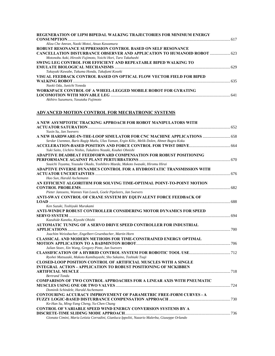| REGENERATION OF LIPM BIPEDAL WALKING TRAJECTORIES FOR MINIMUM ENERGY                                                                            |  |
|-------------------------------------------------------------------------------------------------------------------------------------------------|--|
|                                                                                                                                                 |  |
| Aliza Che Amran, Naoki Motoi, Atsuo Kawamura                                                                                                    |  |
| ROBUST RESONANCE SUPPRESSION CONTROL BASED ON SELF RESONANCE                                                                                    |  |
| <b>CANCELLATION DISTURBANCE OBSERVER AND APPLICATION TO HUMANOID ROBOT  623</b><br>Motonobu Aoki, Hiroshi Fujimoto, Yoichi Hori, Taro Takahashi |  |
| SWING LEG CONTROL FOR EFFICIENT AND REPEATABLE BIPED WALKING TO                                                                                 |  |
|                                                                                                                                                 |  |
| Takayuki Kawabe, Takuma Honda, Takafumi Koseki                                                                                                  |  |
| VISUAL FEEDBACK CONTROL BASED ON OPTICAL FLOW VECTOR FIELD FOR BIPED                                                                            |  |
|                                                                                                                                                 |  |
| Naoki Oda, Junichi Yoneda                                                                                                                       |  |
| WORKSPACE CONTROL OF A WHEEL-LEGGED MOBILE ROBOT FOR GYRATING                                                                                   |  |
| Akihiro Suzumura, Yasutaka Fujimoto                                                                                                             |  |
|                                                                                                                                                 |  |

## **ADVANCED MOTION CONTROL FOR MECHATRONIC SYSTEMS**

| A NEW ASYMPTOTIC TRACKING APPROACH FOR ROBOT MANIPULATORS WITH                                  |  |
|-------------------------------------------------------------------------------------------------|--|
|                                                                                                 |  |
| Yuxin Su, Jan Swevers<br>A NEW HARDWARE-IN-THE-LOOP SIMULATOR FOR CNC MACHINE APPLICATIONS  658 |  |
| Serdar Usenmez, Baris Ragip Mutlu, Ulas Yaman, Ergin Kilic, Melik Dolen, Ahmet Bugra Koku       |  |
|                                                                                                 |  |
| Yuki Saito, Uichiro Nishio, Takahiro Nozaki, Kouhei Ohnishi                                     |  |
| <b>ADAPTIVE DEADBEAT FEEDFORWARD COMPENSATION FOR ROBUST POSITIONING</b>                        |  |
|                                                                                                 |  |
| Souichi Toyama, Yousuke Okado, Yoshihiro Maeda, Makoto Iwasaki, Hiromu Hirai                    |  |
| ADAPTIVE INVERSE DYNAMICS CONTROL FOR A HYDROSTATIC TRANSMISSION WITH                           |  |
|                                                                                                 |  |
| Hao Sun, Harald Aschemann                                                                       |  |
| AN EFFICIENT ALGORITHM FOR SOLVING TIME-OPTIMAL POINT-TO-POINT MOTION                           |  |
|                                                                                                 |  |
| Pieter Janssens, Wannes Van Loock, Goele Pipeleers, Jan Swevers                                 |  |
| ANTI-SWAY CONTROL OF CRANE SYSTEM BY EQUIVALENT FORCE FEEDBACK OF                               |  |
| Ken Suzuki, Toshiyuki Murakami                                                                  |  |
| ANTI-WINDUP ROBUST CONTROLLER CONSIDERING MOTOR DYNAMICS FOR SPEED                              |  |
|                                                                                                 |  |
| Kazuhide Kaneko, Kiyoshi Ohishi                                                                 |  |
| <b>AUTOMATIC TUNING OF A SERVO DRIVE SPEED CONTROLLER FOR INDUSTRIAL</b>                        |  |
|                                                                                                 |  |
| Joachim Weissbacher, Engelbert Gruenbacher, Martin Horn                                         |  |
| <b>CLASSICAL AND MODERN METHODS FOR TIME-CONSTRAINED ENERGY OPTIMAL</b>                         |  |
|                                                                                                 |  |
| Julian Stoev, Xin Wang, Gregory Pinte, Jan Swevers                                              |  |
|                                                                                                 |  |
| Ryohei Matsuzaki, Makoto Kamibayashi, Sho Sakaino, Toshiaki Tsuji                               |  |
| <b>CLOSED-LOOP POSITION CONTROL OF ARTIFICIAL MUSCLES WITH A SINGLE</b>                         |  |
| <b>INTEGRAL ACTION - APPLICATION TO ROBUST POSITIONING OF MCKIBBEN</b>                          |  |
| <b>Bertrand Tondu</b>                                                                           |  |
| <b>COMPARISON OF TWO CONTROL APPROACHES FOR A LINEAR AXIS WITH PNEUMATIC</b>                    |  |
|                                                                                                 |  |
| Dominik Schindele, Harald Aschemann                                                             |  |
| <b>CONTOURING ACCURACY IMPROVEMENT OF PARAMETRIC FREE-FORM CURVES - A</b>                       |  |
|                                                                                                 |  |
| Ke-Han Su, Ming-Yang Cheng, Yu-Chen Chang                                                       |  |
| <b>CONTROL OF VARIABLE SPEED WIND ENERGY CONVERSION SYSTEMS BY A</b>                            |  |
|                                                                                                 |  |
| Gionata Cimini, Maria Letizia Corradini, Gianluca Ippoliti, Nazario Malerba, Giuseppe Orlando   |  |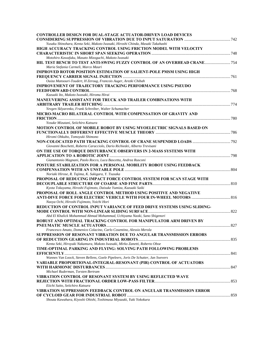| <b>CONTROLLER DESIGN FOR DUAL-STAGE ACTUATOR-DRIVEN LOAD DEVICES</b>              |  |
|-----------------------------------------------------------------------------------|--|
|                                                                                   |  |
| Yusaku Shinohara, Kenta Seki, Makoto Iwasaki, Hiroshi Chinda, Masaki Takahashi    |  |
| HIGH ACCURACY TRACKING CONTROL USING FRICTION MODEL WITH VELOCITY                 |  |
| Motohiro Kawafuku, Masato Mizoguchi, Makoto Iwasaki                               |  |
|                                                                                   |  |
| Maria Stefania Carmeli, Marco Mauri                                               |  |
| <b>IMPROVED ROTOR POSITION ESTIMATION OF SALIENT-POLE PMSM USING HIGH</b>         |  |
|                                                                                   |  |
| Ouiza Mansouri-Toudert, H Zeroug, Francois Auger, Arezki Chibah                   |  |
| <b>IMPROVEMENT OF TRAJECTORY TRACKING PERFORMANCE USING PSEUDO</b>                |  |
|                                                                                   |  |
| Kazuaki Ito, Makoto Iwasaki, Hiromu Hirai                                         |  |
| MANEUVERING ASSISTANT FOR TRUCK AND TRAILER COMBINATIONS WITH                     |  |
|                                                                                   |  |
| Yevgen Sklyarenko, Frank Schreiber, Walter Schumacher                             |  |
| MICRO-MACRO BILATERAL CONTROL WITH COMPENSATION OF GRAVITY AND                    |  |
|                                                                                   |  |
| Yosuke Mizutani, Seiichiro Katsura                                                |  |
| MOTION CONTROL OF MOBILE ROBOT BY USING MYOELECTRIC SIGNALS BASED ON              |  |
|                                                                                   |  |
| Hiromi Ohkubo, Tomoyuki Shimono                                                   |  |
|                                                                                   |  |
| Giovanni Boschetti, Roberto Caracciolo, Dario Richiedei, Alberto Trevisani        |  |
| ON THE USE OF TORQUE DISTURBANCE OBSERVERS IN 2-MASS SYSTEMS WITH                 |  |
| Gianantonio Magnani, Paolo Rocco, Luca Bascetta, Andrea Rusconi                   |  |
| <b>POSTURE STABILIZATION FOR A PERSONAL MOBILITY ROBOT USING FEEDBACK</b>         |  |
|                                                                                   |  |
| Noriaki Hirose, R. Tajima, K. Sukigara, Y. Tsusaka                                |  |
| PROPOSAL OF REDUCING IMPACT FORCE CONTROL SYSTEM FOR SCAN STAGE WITH              |  |
|                                                                                   |  |
| Kyota Tokuyama, Hiroshi Fujimoto, Daisuke Yumiza, Kazuaki Saiki                   |  |
| PROPOSAL OF ROLL ANGLE CONTROL METHOD USING POSITIVE AND NEGATIVE                 |  |
|                                                                                   |  |
| Naoya Ochi, Hiroshi Fujimoto, Yoichi Hori                                         |  |
| REDUCTION OF CONTROL INPUT VARIANCE OF FEED DRIVE SYSTEMS USING SLIDING-          |  |
|                                                                                   |  |
| Abd El Khalick Mohammad Ahmad Mohammad, Uchiyama Naoki, Sano Shigenori            |  |
| ROBUST AND OPTIMAL TRACKING CONTROL FOR MANIPULATOR ARM DRIVEN BY                 |  |
|                                                                                   |  |
| Francesco Amato, Domenico Colacino, Carlo Cosentino, Alessio Merola               |  |
| SUPPRESSION OF RESONANT VIBRATION DUE TO ANGULAR TRANSMISSION ERRORS              |  |
|                                                                                   |  |
| Kenta Seki, Hiroyuki Nakamura, Makoto Iwasaki, Mirko Zanetti, Roberto Oboe        |  |
| TIME-OPTIMAL PARKING AND FLYING: SOLVING PATH FOLLOWING PROBLEMS                  |  |
| Wannes Van Loock, Steven Bellens, Goele Pipeleers, Joris De Schutter, Jan Swevers |  |
| VARIABLE PROPORTIONAL-INTEGRAL-RESONANT (PIR) CONTROL OF ACTUATORS                |  |
|                                                                                   |  |
| Michael Ruderman, Torsten Bertram                                                 |  |
| VIBRATION CONTROL OF RESONANT SYSTEM BY USING REFLECTED WAVE                      |  |
|                                                                                   |  |
| Eiichi Saito, Seiichiro Katsura                                                   |  |
| VIBRATION SUPPRESSION FEEDBACK CONTROL ON ANGULAR TRANSMISSION ERROR              |  |
|                                                                                   |  |
| Shouta Kawahara, Kiyoshi Ohishi, Toshimasa Miyazaki, Yuki Yokokura                |  |